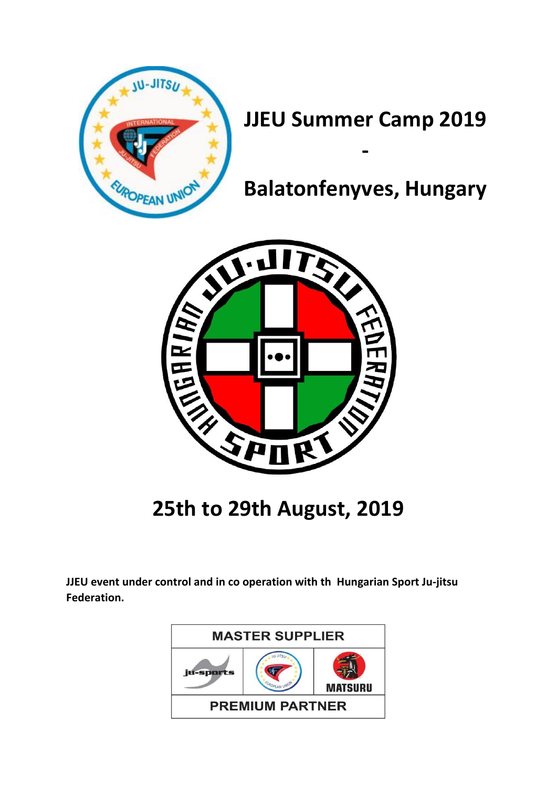

# **JJEU Summer Camp 2019**

**-**

# **Balatonfenyves, Hungary**



**25th to 29th August, 2019**

**JJEU event under control and in co operation with th Hungarian Sport Ju-jitsu Federation.**

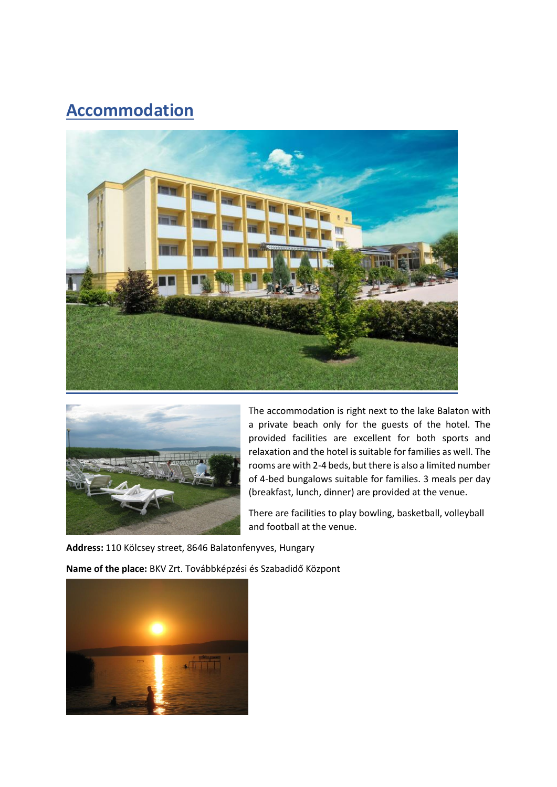### **Accommodation**





The accommodation is right next to the lake Balaton with a private beach only for the guests of the hotel. The provided facilities are excellent for both sports and relaxation and the hotel is suitable for families as well. The rooms are with 2-4 beds, but there is also a limited number of 4-bed bungalows suitable for families. 3 meals per day (breakfast, lunch, dinner) are provided at the venue.

There are facilities to play bowling, basketball, volleyball and football at the venue.

**Address:** 110 Kölcsey street, 8646 Balatonfenyves, Hungary

**Name of the place:** BKV Zrt. Továbbképzési és Szabadidő Központ

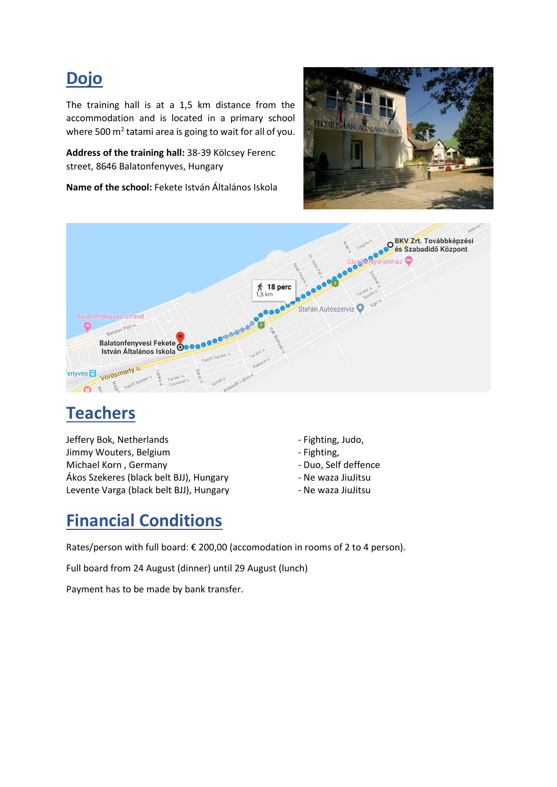#### **Dojo**

The training hall is at a 1,5 km distance from the accommodation and is located in a primary school where 500  $m^2$  tatami area is going to wait for all of you.

**Address of the training hall:** 38-39 Kölcsey Ferenc street, 8646 Balatonfenyves, Hungary

**Name of the school:** Fekete István Általános Iskola





# **Teachers**

Jeffery Bok, Netherlands and the state of the Fighting, Judo, Jimmy Wouters, Belgium **Fighting**, Englishment Controller and Trumpers and Trumpers of Trumpers and Trumpers and T Michael Korn, Germany **Accord 19 and 19 and 19 and 19 and 19 and 19 and 19 and 19 and 19 and 19 and 19 and 19 and 19 and 19 and 19 and 19 and 19 and 19 and 19 and 19 and 19 and 19 and 19 and 19 and 19 and 19 and 19 and 19** Ákos Szekeres (black belt BJJ), Hungary Francisco - Ne waza JiuJitsu Levente Varga (black belt BJJ), Hungary **- Ne waza JiuJitsu** 

- 
- 
- 
- 
- 

#### **Financial Conditions**

Rates/person with full board: € 200,00 (accomodation in rooms of 2 to 4 person).

Full board from 24 August (dinner) until 29 August (lunch)

Payment has to be made by bank transfer.